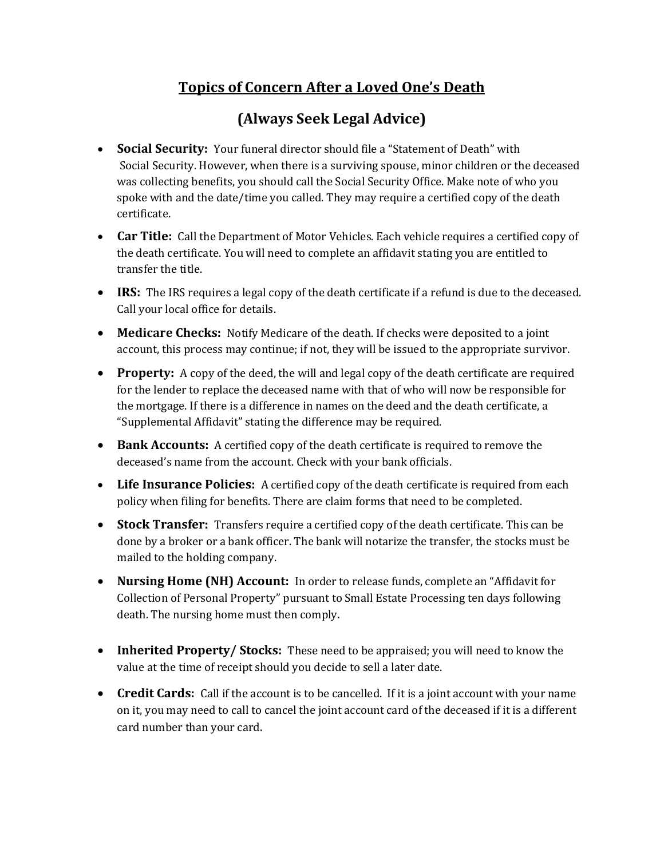## Topics of Concern After a Loved One's Death

## (Always Seek Legal Advice)

- Social Security: Your funeral director should file a "Statement of Death" with Social Security. However, when there is a surviving spouse, minor children or the deceased was collecting benefits, you should call the Social Security Office. Make note of who you spoke with and the date/time you called. They may require a certified copy of the death certificate.
- **Car Title:** Call the Department of Motor Vehicles. Each vehicle requires a certified copy of the death certificate. You will need to complete an affidavit stating you are entitled to transfer the title.
- IRS: The IRS requires a legal copy of the death certificate if a refund is due to the deceased. Call your local office for details.
- Medicare Checks: Notify Medicare of the death. If checks were deposited to a joint account, this process may continue; if not, they will be issued to the appropriate survivor.
- Property: A copy of the deed, the will and legal copy of the death certificate are required for the lender to replace the deceased name with that of who will now be responsible for the mortgage. If there is a difference in names on the deed and the death certificate, a "Supplemental Affidavit" stating the difference may be required.
- **Bank Accounts:** A certified copy of the death certificate is required to remove the deceased's name from the account. Check with your bank officials.
- Life Insurance Policies: A certified copy of the death certificate is required from each policy when filing for benefits. There are claim forms that need to be completed.
- Stock Transfer: Transfers require a certified copy of the death certificate. This can be done by a broker or a bank officer. The bank will notarize the transfer, the stocks must be mailed to the holding company.
- Nursing Home (NH) Account: In order to release funds, complete an "Affidavit for Collection of Personal Property" pursuant to Small Estate Processing ten days following death. The nursing home must then comply.
- Inherited Property/ Stocks: These need to be appraised; you will need to know the value at the time of receipt should you decide to sell a later date.
- Credit Cards: Call if the account is to be cancelled. If it is a joint account with your name on it, you may need to call to cancel the joint account card of the deceased if it is a different card number than your card.